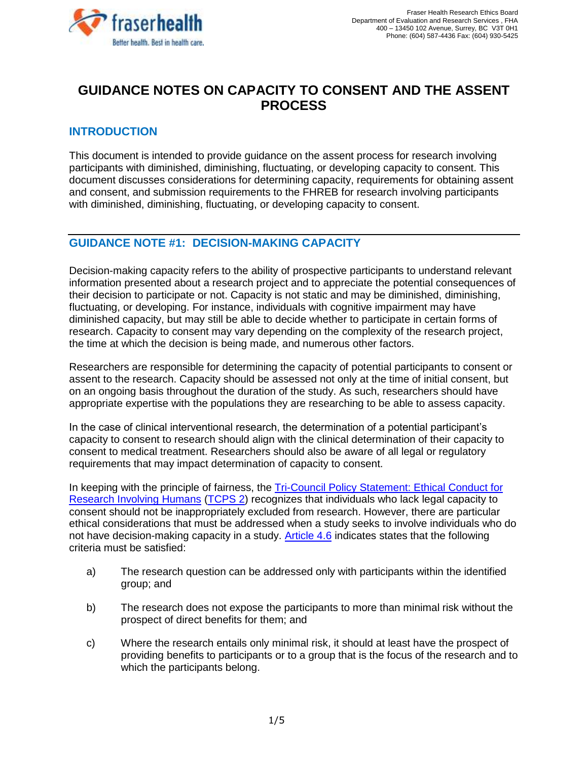

# **GUIDANCE NOTES ON CAPACITY TO CONSENT AND THE ASSENT PROCESS**

## **INTRODUCTION**

This document is intended to provide guidance on the assent process for research involving participants with diminished, diminishing, fluctuating, or developing capacity to consent. This document discusses considerations for determining capacity, requirements for obtaining assent and consent, and submission requirements to the FHREB for research involving participants with diminished, diminishing, fluctuating, or developing capacity to consent.

## **GUIDANCE NOTE #1:****DECISION-MAKING CAPACITY**

Decision-making capacity refers to the ability of prospective participants to understand relevant information presented about a research project and to appreciate the potential consequences of their decision to participate or not. Capacity is not static and may be diminished, diminishing, fluctuating, or developing. For instance, individuals with cognitive impairment may have diminished capacity, but may still be able to decide whether to participate in certain forms of research. Capacity to consent may vary depending on the complexity of the research project, the time at which the decision is being made, and numerous other factors.

Researchers are responsible for determining the capacity of potential participants to consent or assent to the research. Capacity should be assessed not only at the time of initial consent, but on an ongoing basis throughout the duration of the study. As such, researchers should have appropriate expertise with the populations they are researching to be able to assess capacity.

In the case of clinical interventional research, the determination of a potential participant's capacity to consent to research should align with the clinical determination of their capacity to consent to medical treatment. Researchers should also be aware of all legal or regulatory requirements that may impact determination of capacity to consent.

In keeping with the principle of fairness, the [Tri-Council Policy Statement: Ethical Conduct for](http://www.pre.ethics.gc.ca/eng/documents/tcps2-2018-en-interactive-final.pdf)  [Research Involving Humans](http://www.pre.ethics.gc.ca/eng/documents/tcps2-2018-en-interactive-final.pdf) [\(TCPS 2\)](http://www.pre.ethics.gc.ca/eng/documents/tcps2-2018-en-interactive-final.pdf) recognizes that individuals who lack legal capacity to consent should not be inappropriately excluded from research. However, there are particular ethical considerations that must be addressed when a study seeks to involve individuals who do not have decision-making capacity in a study. [Article 4.6](http://www.pre.ethics.gc.ca/eng/tcps2-eptc2_2018_chapter4-chapitre4.html) indicates states that the following criteria must be satisfied:

- a) The research question can be addressed only with participants within the identified group; and
- b) The research does not expose the participants to more than minimal risk without the prospect of direct benefits for them; and
- c) Where the research entails only minimal risk, it should at least have the prospect of providing benefits to participants or to a group that is the focus of the research and to which the participants belong.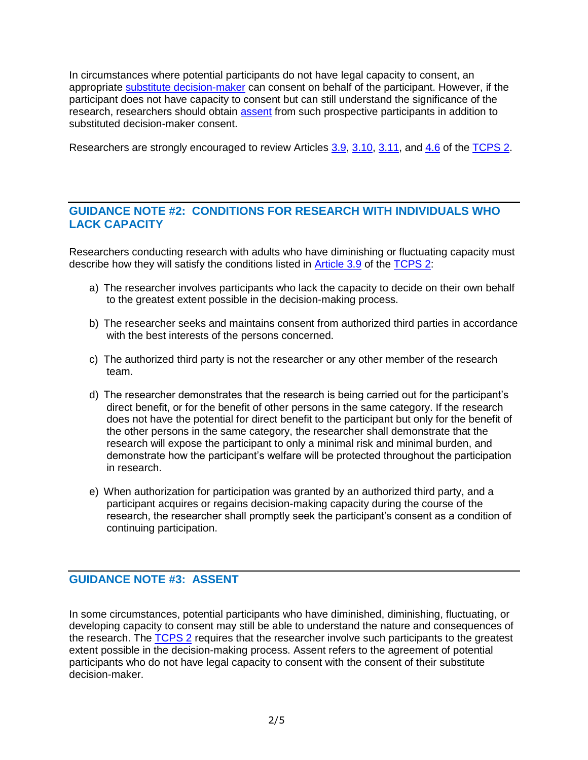In circumstances where potential participants do not have legal capacity to consent, an appropriate [substitute decision-maker](#page-3-0) can consent on behalf of the participant. However, if the participant does not have capacity to consent but can still understand the significance of the research, researchers should obtain **assent** from such prospective participants in addition to substituted decision-maker consent.

Researchers are strongly encouraged to review Articles [3.9, 3.10, 3.11,](http://www.pre.ethics.gc.ca/eng/tcps2-eptc2_2018_chapter3-chapitre3.html) and [4.6](http://www.pre.ethics.gc.ca/eng/tcps2-eptc2_2018_chapter4-chapitre4.html) of the [TCPS 2.](http://www.pre.ethics.gc.ca/eng/documents/tcps2-2018-en-interactive-final.pdf)

## **GUIDANCE NOTE #2: CONDITIONS FOR RESEARCH WITH INDIVIDUALS WHO LACK CAPACITY**

Researchers conducting research with adults who have diminishing or fluctuating capacity must describe how they will satisfy the conditions listed in **Article 3.9** of the [TCPS 2:](http://www.pre.ethics.gc.ca/eng/documents/tcps2-2018-en-interactive-final.pdf)

- a) The researcher involves participants who lack the capacity to decide on their own behalf to the greatest extent possible in the decision-making process.
- b) The researcher seeks and maintains consent from authorized third parties in accordance with the best interests of the persons concerned.
- c) The authorized third party is not the researcher or any other member of the research team.
- d) The researcher demonstrates that the research is being carried out for the participant's direct benefit, or for the benefit of other persons in the same category. If the research does not have the potential for direct benefit to the participant but only for the benefit of the other persons in the same category, the researcher shall demonstrate that the research will expose the participant to only a minimal risk and minimal burden, and demonstrate how the participant's welfare will be protected throughout the participation in research.
- e) When authorization for participation was granted by an authorized third party, and a participant acquires or regains decision-making capacity during the course of the research, the researcher shall promptly seek the participant's consent as a condition of continuing participation.

# <span id="page-1-0"></span>**GUIDANCE NOTE #3: ASSENT**

In some circumstances, potential participants who have diminished, diminishing, fluctuating, or developing capacity to consent may still be able to understand the nature and consequences of the research. The **TCPS 2** requires that the researcher involve such participants to the greatest extent possible in the decision-making process. Assent refers to the agreement of potential participants who do not have legal capacity to consent with the consent of their substitute decision-maker.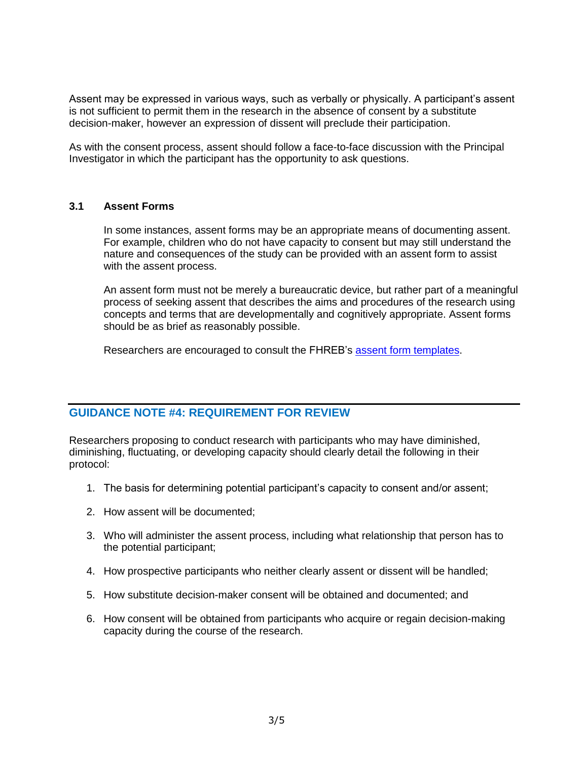Assent may be expressed in various ways, such as verbally or physically. A participant's assent is not sufficient to permit them in the research in the absence of consent by a substitute decision-maker, however an expression of dissent will preclude their participation.

As with the consent process, assent should follow a face-to-face discussion with the Principal Investigator in which the participant has the opportunity to ask questions.

#### **3.1 Assent Forms**

In some instances, assent forms may be an appropriate means of documenting assent. For example, children who do not have capacity to consent but may still understand the nature and consequences of the study can be provided with an assent form to assist with the assent process.

An assent form must not be merely a bureaucratic device, but rather part of a meaningful process of seeking assent that describes the aims and procedures of the research using concepts and terms that are developmentally and cognitively appropriate. Assent forms should be as brief as reasonably possible.

Researchers are encouraged to consult the FHREB's [assent form templates.](https://www.fraserhealth.ca/employees/research-and-evaluation/find-resources/research-forms-guidance-notes-templates#.XdMdnflKiUk)

#### **GUIDANCE NOTE #4: REQUIREMENT FOR REVIEW**

Researchers proposing to conduct research with participants who may have diminished, diminishing, fluctuating, or developing capacity should clearly detail the following in their protocol:

- 1. The basis for determining potential participant's capacity to consent and/or assent;
- 2. How assent will be documented;
- 3. Who will administer the assent process, including what relationship that person has to the potential participant;
- 4. How prospective participants who neither clearly assent or dissent will be handled;
- 5. How substitute decision-maker consent will be obtained and documented; and
- 6. How consent will be obtained from participants who acquire or regain decision-making capacity during the course of the research.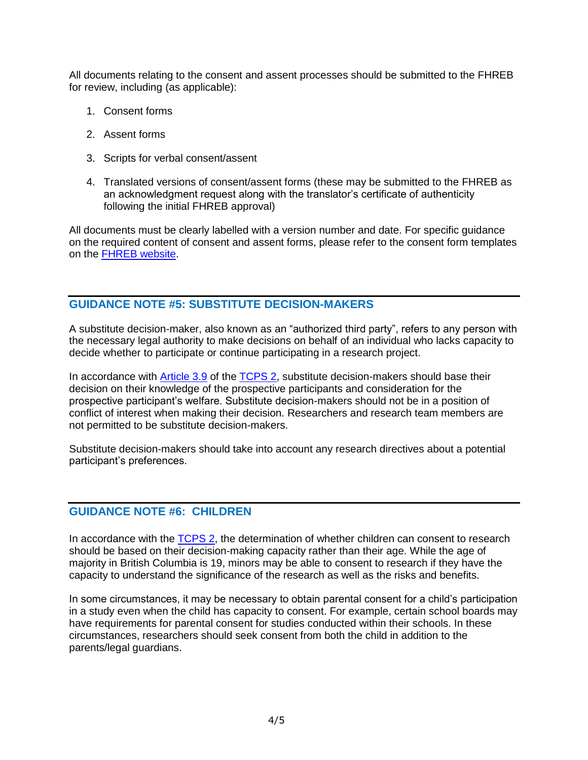All documents relating to the consent and assent processes should be submitted to the FHREB for review, including (as applicable):

- 1. Consent forms
- 2. Assent forms
- 3. Scripts for verbal consent/assent
- 4. Translated versions of consent/assent forms (these may be submitted to the FHREB as an acknowledgment request along with the translator's certificate of authenticity following the initial FHREB approval)

All documents must be clearly labelled with a version number and date. For specific guidance on the required content of consent and assent forms, please refer to the consent form templates on the [FHREB website.](https://www.fraserhealth.ca/employees/research-and-evaluation/find-resources/research-forms-guidance-notes-templates#.XdMdnflKiUk)

### <span id="page-3-0"></span>**GUIDANCE NOTE #5: SUBSTITUTE DECISION-MAKERS**

A substitute decision-maker, also known as an "authorized third party", refers to any person with the necessary legal authority to make decisions on behalf of an individual who lacks capacity to decide whether to participate or continue participating in a research project.

In accordance with [Article 3.9](http://www.pre.ethics.gc.ca/eng/tcps2-eptc2_2018_chapter3-chapitre3.html) of the [TCPS 2,](http://www.pre.ethics.gc.ca/eng/documents/tcps2-2018-en-interactive-final.pdf) substitute decision-makers should base their decision on their knowledge of the prospective participants and consideration for the prospective participant's welfare. Substitute decision-makers should not be in a position of conflict of interest when making their decision. Researchers and research team members are not permitted to be substitute decision-makers.

Substitute decision-makers should take into account any research directives about a potential participant's preferences.

### **GUIDANCE NOTE #6: CHILDREN**

In accordance with the [TCPS 2,](http://www.pre.ethics.gc.ca/eng/documents/tcps2-2018-en-interactive-final.pdf) the determination of whether children can consent to research should be based on their decision-making capacity rather than their age. While the age of majority in British Columbia is 19, minors may be able to consent to research if they have the capacity to understand the significance of the research as well as the risks and benefits.

In some circumstances, it may be necessary to obtain parental consent for a child's participation in a study even when the child has capacity to consent. For example, certain school boards may have requirements for parental consent for studies conducted within their schools. In these circumstances, researchers should seek consent from both the child in addition to the parents/legal guardians.